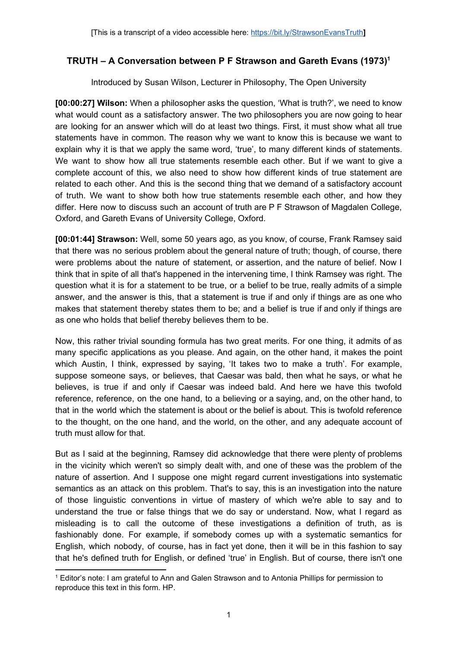## **TRUTH – A Conversation between P F Strawson and Gareth Evans (1973)<sup>1</sup>**

Introduced by Susan Wilson, Lecturer in Philosophy, The Open University

**[00:00:27] Wilson:** When a philosopher asks the question, 'What is truth?', we need to know what would count as a satisfactory answer. The two philosophers you are now going to hear are looking for an answer which will do at least two things. First, it must show what all true statements have in common. The reason why we want to know this is because we want to explain why it is that we apply the same word, 'true', to many different kinds of statements. We want to show how all true statements resemble each other. But if we want to give a complete account of this, we also need to show how different kinds of true statement are related to each other. And this is the second thing that we demand of a satisfactory account of truth. We want to show both how true statements resemble each other, and how they differ. Here now to discuss such an account of truth are P F Strawson of Magdalen College, Oxford, and Gareth Evans of University College, Oxford.

**[00:01:44] Strawson:** Well, some 50 years ago, as you know, of course, Frank Ramsey said that there was no serious problem about the general nature of truth; though, of course, there were problems about the nature of statement, or assertion, and the nature of belief. Now I think that in spite of all that's happened in the intervening time, I think Ramsey was right. The question what it is for a statement to be true, or a belief to be true, really admits of a simple answer, and the answer is this, that a statement is true if and only if things are as one who makes that statement thereby states them to be; and a belief is true if and only if things are as one who holds that belief thereby believes them to be.

Now, this rather trivial sounding formula has two great merits. For one thing, it admits of as many specific applications as you please. And again, on the other hand, it makes the point which Austin, I think, expressed by saying, 'It takes two to make a truth'. For example, suppose someone says, or believes, that Caesar was bald, then what he says, or what he believes, is true if and only if Caesar was indeed bald. And here we have this twofold reference, reference, on the one hand, to a believing or a saying, and, on the other hand, to that in the world which the statement is about or the belief is about. This is twofold reference to the thought, on the one hand, and the world, on the other, and any adequate account of truth must allow for that.

But as I said at the beginning, Ramsey did acknowledge that there were plenty of problems in the vicinity which weren't so simply dealt with, and one of these was the problem of the nature of assertion. And I suppose one might regard current investigations into systematic semantics as an attack on this problem. That's to say, this is an investigation into the nature of those linguistic conventions in virtue of mastery of which we're able to say and to understand the true or false things that we do say or understand. Now, what I regard as misleading is to call the outcome of these investigations a definition of truth, as is fashionably done. For example, if somebody comes up with a systematic semantics for English, which nobody, of course, has in fact yet done, then it will be in this fashion to say that he's defined truth for English, or defined 'true' in English. But of course, there isn't one

<sup>1</sup> Editor's note: I am grateful to Ann and Galen Strawson and to Antonia Phillips for permission to reproduce this text in this form. HP.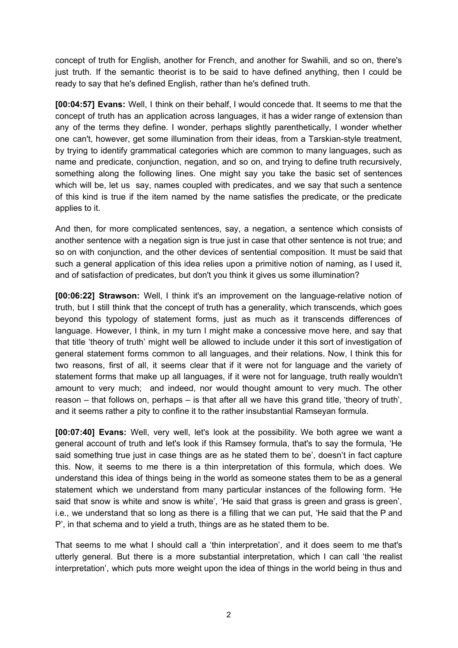concept of truth for English, another for French, and another for Swahili, and so on, there's just truth. If the semantic theorist is to be said to have defined anything, then I could be ready to say that he's defined English, rather than he's defined truth.

**[00:04:57] Evans:** Well, I think on their behalf, I would concede that. It seems to me that the concept of truth has an application across languages, it has a wider range of extension than any of the terms they define. I wonder, perhaps slightly parenthetically, I wonder whether one can't, however, get some illumination from their ideas, from a Tarskian-style treatment, by trying to identify grammatical categories which are common to many languages, such as name and predicate, conjunction, negation, and so on, and trying to define truth recursively, something along the following lines. One might say you take the basic set of sentences which will be, let us say, names coupled with predicates, and we say that such a sentence of this kind is true if the item named by the name satisfies the predicate, or the predicate applies to it.

And then, for more complicated sentences, say, a negation, a sentence which consists of another sentence with a negation sign is true just in case that other sentence is not true; and so on with conjunction, and the other devices of sentential composition. It must be said that such a general application of this idea relies upon a primitive notion of naming, as I used it, and of satisfaction of predicates, but don't you think it gives us some illumination?

**[00:06:22] Strawson:** Well, I think it's an improvement on the language-relative notion of truth, but I still think that the concept of truth has a generality, which transcends, which goes beyond this typology of statement forms, just as much as it transcends differences of language. However, I think, in my turn I might make a concessive move here, and say that that title 'theory of truth' might well be allowed to include under it this sort of investigation of general statement forms common to all languages, and their relations. Now, I think this for two reasons, first of all, it seems clear that if it were not for language and the variety of statement forms that make up all languages, if it were not for language, truth really wouldn't amount to very much; and indeed, nor would thought amount to very much. The other reason – that follows on, perhaps – is that after all we have this grand title, 'theory of truth', and it seems rather a pity to confine it to the rather insubstantial Ramseyan formula.

**[00:07:40] Evans:** Well, very well, let's look at the possibility. We both agree we want a general account of truth and let's look if this Ramsey formula, that's to say the formula, 'He said something true just in case things are as he stated them to be', doesn't in fact capture this. Now, it seems to me there is a thin interpretation of this formula, which does. We understand this idea of things being in the world as someone states them to be as a general statement which we understand from many particular instances of the following form. 'He said that snow is white and snow is white', 'He said that grass is green and grass is green', i.e., we understand that so long as there is a filling that we can put, 'He said that the P and P', in that schema and to yield a truth, things are as he stated them to be.

That seems to me what I should call a 'thin interpretation', and it does seem to me that's utterly general. But there is a more substantial interpretation, which I can call 'the realist interpretation', which puts more weight upon the idea of things in the world being in thus and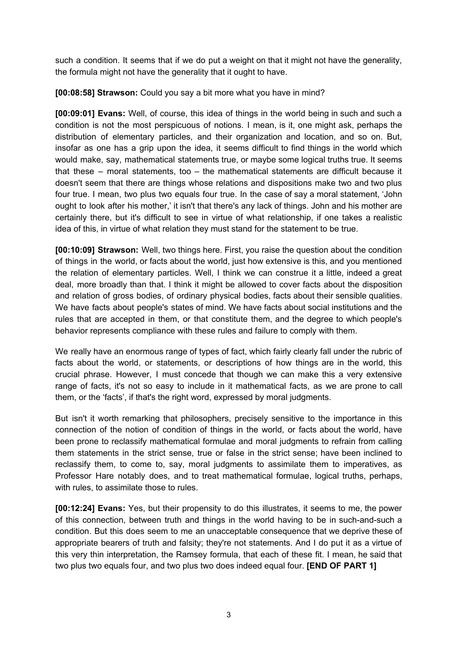such a condition. It seems that if we do put a weight on that it might not have the generality, the formula might not have the generality that it ought to have.

**[00:08:58] Strawson:** Could you say a bit more what you have in mind?

**[00:09:01] Evans:** Well, of course, this idea of things in the world being in such and such a condition is not the most perspicuous of notions. I mean, is it, one might ask, perhaps the distribution of elementary particles, and their organization and location, and so on. But, insofar as one has a grip upon the idea, it seems difficult to find things in the world which would make, say, mathematical statements true, or maybe some logical truths true. It seems that these – moral statements, too – the mathematical statements are difficult because it doesn't seem that there are things whose relations and dispositions make two and two plus four true. I mean, two plus two equals four true. In the case of say a moral statement, 'John ought to look after his mother,' it isn't that there's any lack of things. John and his mother are certainly there, but it's difficult to see in virtue of what relationship, if one takes a realistic idea of this, in virtue of what relation they must stand for the statement to be true.

**[00:10:09] Strawson:** Well, two things here. First, you raise the question about the condition of things in the world, or facts about the world, just how extensive is this, and you mentioned the relation of elementary particles. Well, I think we can construe it a little, indeed a great deal, more broadly than that. I think it might be allowed to cover facts about the disposition and relation of gross bodies, of ordinary physical bodies, facts about their sensible qualities. We have facts about people's states of mind. We have facts about social institutions and the rules that are accepted in them, or that constitute them, and the degree to which people's behavior represents compliance with these rules and failure to comply with them.

We really have an enormous range of types of fact, which fairly clearly fall under the rubric of facts about the world, or statements, or descriptions of how things are in the world, this crucial phrase. However, I must concede that though we can make this a very extensive range of facts, it's not so easy to include in it mathematical facts, as we are prone to call them, or the 'facts', if that's the right word, expressed by moral judgments.

But isn't it worth remarking that philosophers, precisely sensitive to the importance in this connection of the notion of condition of things in the world, or facts about the world, have been prone to reclassify mathematical formulae and moral judgments to refrain from calling them statements in the strict sense, true or false in the strict sense; have been inclined to reclassify them, to come to, say, moral judgments to assimilate them to imperatives, as Professor Hare notably does, and to treat mathematical formulae, logical truths, perhaps, with rules, to assimilate those to rules.

**[00:12:24] Evans:** Yes, but their propensity to do this illustrates, it seems to me, the power of this connection, between truth and things in the world having to be in such-and-such a condition. But this does seem to me an unacceptable consequence that we deprive these of appropriate bearers of truth and falsity; they're not statements. And I do put it as a virtue of this very thin interpretation, the Ramsey formula, that each of these fit. I mean, he said that two plus two equals four, and two plus two does indeed equal four. **[END OF PART 1]**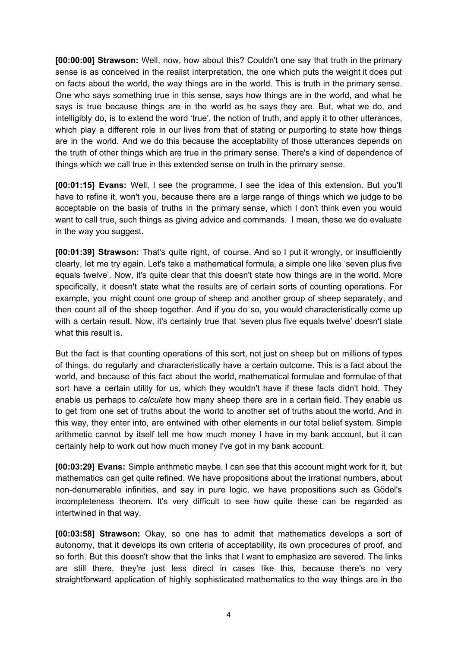**[00:00:00] Strawson:** Well, now, how about this? Couldn't one say that truth in the primary sense is as conceived in the realist interpretation, the one which puts the weight it does put on facts about the world, the way things are in the world. This is truth in the primary sense. One who says something true in this sense, says how things are in the world, and what he says is true because things are in the world as he says they are. But, what we do, and intelligibly do, is to extend the word 'true', the notion of truth, and apply it to other utterances, which play a different role in our lives from that of stating or purporting to state how things are in the world. And we do this because the acceptability of those utterances depends on the truth of other things which are true in the primary sense. There's a kind of dependence of things which we call true in this extended sense on truth in the primary sense.

**[00:01:15] Evans:** Well, I see the programme. I see the idea of this extension. But you'll have to refine it, won't you, because there are a large range of things which we judge to be acceptable on the basis of truths in the primary sense, which I don't think even you would want to call true, such things as giving advice and commands. I mean, these we do evaluate in the way you suggest.

**[00:01:39] Strawson:** That's quite right, of course. And so I put it wrongly, or insufficiently clearly, let me try again. Let's take a mathematical formula, a simple one like 'seven plus five equals twelve'. Now, it's quite clear that this doesn't state how things are in the world. More specifically, it doesn't state what the results are of certain sorts of counting operations. For example, you might count one group of sheep and another group of sheep separately, and then count all of the sheep together. And if you do so, you would characteristically come up with a certain result. Now, it's certainly true that 'seven plus five equals twelve' doesn't state what this result is.

But the fact is that counting operations of this sort, not just on sheep but on millions of types of things, do regularly and characteristically have a certain outcome. This is a fact about the world, and because of this fact about the world, mathematical formulae and formulae of that sort have a certain utility for us, which they wouldn't have if these facts didn't hold. They enable us perhaps to *calculate* how many sheep there are in a certain field. They enable us to get from one set of truths about the world to another set of truths about the world. And in this way, they enter into, are entwined with other elements in our total belief system. Simple arithmetic cannot by itself tell me how much money I have in my bank account, but it can certainly help to work out how much money I've got in my bank account.

**[00:03:29] Evans:** Simple arithmetic maybe. I can see that this account might work for it, but mathematics can get quite refined. We have propositions about the irrational numbers, about non-denumerable infinities, and say in pure logic, we have propositions such as Gödel's incompleteness theorem. It's very difficult to see how quite these can be regarded as intertwined in that way.

**[00:03:58] Strawson:** Okay, so one has to admit that mathematics develops a sort of autonomy, that it develops its own criteria of acceptability, its own procedures of proof, and so forth. But this doesn't show that the links that I want to emphasize are severed. The links are still there, they're just less direct in cases like this, because there's no very straightforward application of highly sophisticated mathematics to the way things are in the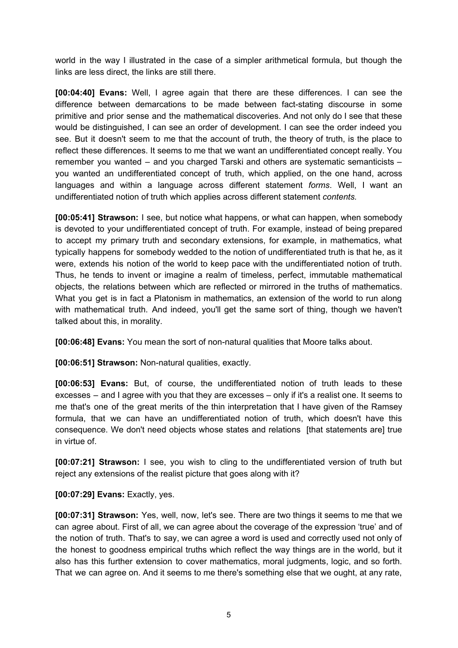world in the way I illustrated in the case of a simpler arithmetical formula, but though the links are less direct, the links are still there.

**[00:04:40] Evans:** Well, I agree again that there are these differences. I can see the difference between demarcations to be made between fact-stating discourse in some primitive and prior sense and the mathematical discoveries. And not only do I see that these would be distinguished, I can see an order of development. I can see the order indeed you see. But it doesn't seem to me that the account of truth, the theory of truth, is the place to reflect these differences. It seems to me that we want an undifferentiated concept really. You remember you wanted – and you charged Tarski and others are systematic semanticists – you wanted an undifferentiated concept of truth, which applied, on the one hand, across languages and within a language across different statement *forms*. Well, I want an undifferentiated notion of truth which applies across different statement *contents.*

**[00:05:41] Strawson:** I see, but notice what happens, or what can happen, when somebody is devoted to your undifferentiated concept of truth. For example, instead of being prepared to accept my primary truth and secondary extensions, for example, in mathematics, what typically happens for somebody wedded to the notion of undifferentiated truth is that he, as it were, extends his notion of the world to keep pace with the undifferentiated notion of truth. Thus, he tends to invent or imagine a realm of timeless, perfect, immutable mathematical objects, the relations between which are reflected or mirrored in the truths of mathematics. What you get is in fact a Platonism in mathematics, an extension of the world to run along with mathematical truth. And indeed, you'll get the same sort of thing, though we haven't talked about this, in morality.

**[00:06:48] Evans:** You mean the sort of non-natural qualities that Moore talks about.

**[00:06:51] Strawson:** Non-natural qualities, exactly.

**[00:06:53] Evans:** But, of course, the undifferentiated notion of truth leads to these excesses – and I agree with you that they are excesses – only if it's a realist one. It seems to me that's one of the great merits of the thin interpretation that I have given of the Ramsey formula, that we can have an undifferentiated notion of truth, which doesn't have this consequence. We don't need objects whose states and relations [that statements are] true in virtue of.

**[00:07:21] Strawson:** I see, you wish to cling to the undifferentiated version of truth but reject any extensions of the realist picture that goes along with it?

**[00:07:29] Evans:** Exactly, yes.

**[00:07:31] Strawson:** Yes, well, now, let's see. There are two things it seems to me that we can agree about. First of all, we can agree about the coverage of the expression 'true' and of the notion of truth. That's to say, we can agree a word is used and correctly used not only of the honest to goodness empirical truths which reflect the way things are in the world, but it also has this further extension to cover mathematics, moral judgments, logic, and so forth. That we can agree on. And it seems to me there's something else that we ought, at any rate,